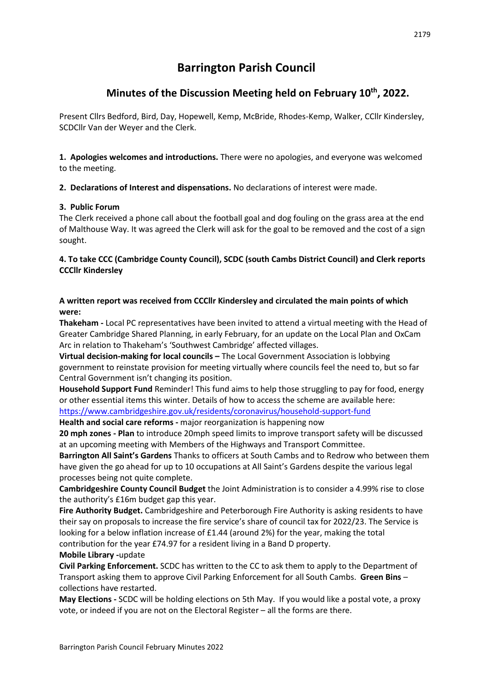# **Barrington Parish Council**

## **Minutes of the Discussion Meeting held on February 10th, 2022.**

Present Cllrs Bedford, Bird, Day, Hopewell, Kemp, McBride, Rhodes-Kemp, Walker, CCllr Kindersley, SCDCllr Van der Weyer and the Clerk.

**1. Apologies welcomes and introductions.** There were no apologies, and everyone was welcomed to the meeting.

**2. Declarations of Interest and dispensations.** No declarations of interest were made.

## **3. Public Forum**

The Clerk received a phone call about the football goal and dog fouling on the grass area at the end of Malthouse Way. It was agreed the Clerk will ask for the goal to be removed and the cost of a sign sought.

**4. To take CCC (Cambridge County Council), SCDC (south Cambs District Council) and Clerk reports CCCllr Kindersley** 

## **A written report was received from CCCllr Kindersley and circulated the main points of which were:**

**Thakeham -** Local PC representatives have been invited to attend a virtual meeting with the Head of Greater Cambridge Shared Planning, in early February, for an update on the Local Plan and OxCam Arc in relation to Thakeham's 'Southwest Cambridge' affected villages.

**Virtual decision-making for local councils –** The Local Government Association is lobbying government to reinstate provision for meeting virtually where councils feel the need to, but so far Central Government isn't changing its position.

**Household Support Fund** Reminder! This fund aims to help those struggling to pay for food, energy or other essential items this winter. Details of how to access the scheme are available here: <https://www.cambridgeshire.gov.uk/residents/coronavirus/household-support-fund>

**Health and social care reforms -** major reorganization is happening now

**20 mph zones - Plan** to introduce 20mph speed limits to improve transport safety will be discussed at an upcoming meeting with Members of the Highways and Transport Committee.

**Barrington All Saint's Gardens** Thanks to officers at South Cambs and to Redrow who between them have given the go ahead for up to 10 occupations at All Saint's Gardens despite the various legal processes being not quite complete.

**Cambridgeshire County Council Budget** the Joint Administration is to consider a 4.99% rise to close the authority's £16m budget gap this year.

**Fire Authority Budget.** Cambridgeshire and Peterborough Fire Authority is asking residents to have their say on proposals to increase the fire service's share of council tax for 2022/23. The Service is looking for a below inflation increase of £1.44 (around 2%) for the year, making the total contribution for the year £74.97 for a resident living in a Band D property.

**Mobile Library -**update

**Civil Parking Enforcement.** SCDC has written to the CC to ask them to apply to the Department of Transport asking them to approve Civil Parking Enforcement for all South Cambs. **Green Bins** – collections have restarted.

**May Elections -** SCDC will be holding elections on 5th May. If you would like a postal vote, a proxy vote, or indeed if you are not on the Electoral Register – all the forms are there.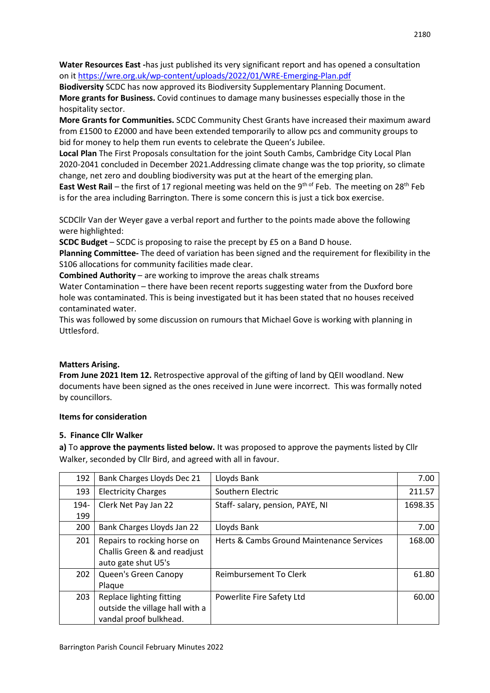**Water Resources East -**has just published its very significant report and has opened a consultation on it <https://wre.org.uk/wp-content/uploads/2022/01/WRE-Emerging-Plan.pdf>

**Biodiversity** SCDC has now approved its Biodiversity Supplementary Planning Document. **More grants for Business.** Covid continues to damage many businesses especially those in the hospitality sector.

**More Grants for Communities.** SCDC Community Chest Grants have increased their maximum award from £1500 to £2000 and have been extended temporarily to allow pcs and community groups to bid for money to help them run events to celebrate the Queen's Jubilee.

**Local Plan** The First Proposals consultation for the joint South Cambs, Cambridge City Local Plan 2020-2041 concluded in December 2021.Addressing climate change was the top priority, so climate change, net zero and doubling biodiversity was put at the heart of the emerging plan.

**East West Rail** – the first of 17 regional meeting was held on the 9<sup>th of</sup> Feb. The meeting on 28<sup>th</sup> Feb is for the area including Barrington. There is some concern this is just a tick box exercise.

SCDCllr Van der Weyer gave a verbal report and further to the points made above the following were highlighted:

**SCDC Budget** – SCDC is proposing to raise the precept by £5 on a Band D house.

**Planning Committee-** The deed of variation has been signed and the requirement for flexibility in the S106 allocations for community facilities made clear.

**Combined Authority** – are working to improve the areas chalk streams

Water Contamination – there have been recent reports suggesting water from the Duxford bore hole was contaminated. This is being investigated but it has been stated that no houses received contaminated water.

This was followed by some discussion on rumours that Michael Gove is working with planning in Uttlesford.

#### **Matters Arising.**

**From June 2021 Item 12.** Retrospective approval of the gifting of land by QEII woodland. New documents have been signed as the ones received in June were incorrect. This was formally noted by councillors.

#### **Items for consideration**

#### **5. Finance Cllr Walker**

**a)** To **approve the payments listed below.** It was proposed to approve the payments listed by Cllr Walker, seconded by Cllr Bird, and agreed with all in favour.

| 192  | Bank Charges Lloyds Dec 21                                                            | Lloyds Bank                               | 7.00    |
|------|---------------------------------------------------------------------------------------|-------------------------------------------|---------|
| 193  | <b>Electricity Charges</b>                                                            | Southern Electric                         | 211.57  |
| 194- | Clerk Net Pay Jan 22                                                                  | Staff- salary, pension, PAYE, NI          | 1698.35 |
| 199  |                                                                                       |                                           |         |
| 200  | Bank Charges Lloyds Jan 22                                                            | Lloyds Bank                               | 7.00    |
| 201  | Repairs to rocking horse on<br>Challis Green & and readjust<br>auto gate shut U5's    | Herts & Cambs Ground Maintenance Services | 168.00  |
| 202  | Queen's Green Canopy<br>Plaque                                                        | Reimbursement To Clerk                    | 61.80   |
| 203  | Replace lighting fitting<br>outside the village hall with a<br>vandal proof bulkhead. | Powerlite Fire Safety Ltd                 | 60.00   |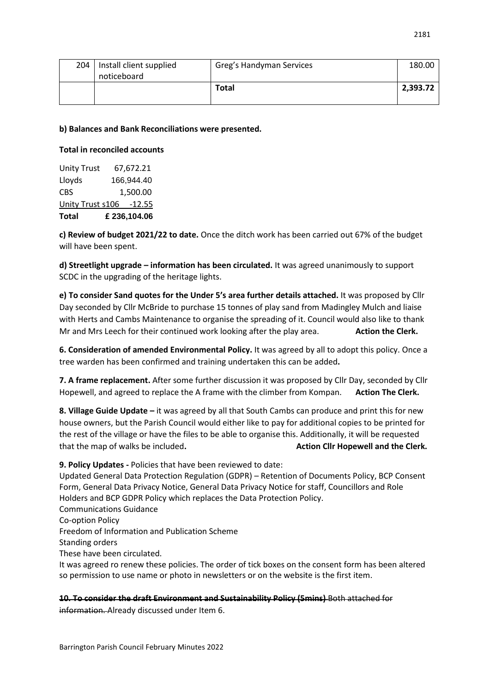| 204 | Install client supplied<br>noticeboard | Greg's Handyman Services | 180.00   |
|-----|----------------------------------------|--------------------------|----------|
|     |                                        | Total                    | 2,393.72 |

#### **b) Balances and Bank Reconciliations were presented.**

#### **Total in reconciled accounts**

| <b>Total</b>            | £ 236,104.06 |
|-------------------------|--------------|
| Unity Trust s106 -12.55 |              |
| <b>CBS</b>              | 1,500.00     |
| Lloyds                  | 166,944.40   |
| <b>Unity Trust</b>      | 67,672.21    |

**c) Review of budget 2021/22 to date.** Once the ditch work has been carried out 67% of the budget will have been spent.

**d) Streetlight upgrade – information has been circulated.** It was agreed unanimously to support SCDC in the upgrading of the heritage lights.

**e) To consider Sand quotes for the Under 5's area further details attached.** It was proposed by Cllr Day seconded by Cllr McBride to purchase 15 tonnes of play sand from Madingley Mulch and liaise with Herts and Cambs Maintenance to organise the spreading of it. Council would also like to thank Mr and Mrs Leech for their continued work looking after the play area. **Action the Clerk.**

**6. Consideration of amended Environmental Policy.** It was agreed by all to adopt this policy. Once a tree warden has been confirmed and training undertaken this can be added**.** 

**7. A frame replacement.** After some further discussion it was proposed by Cllr Day, seconded by Cllr Hopewell, and agreed to replace the A frame with the climber from Kompan. **Action The Clerk.**

**8. Village Guide Update –** it was agreed by all that South Cambs can produce and print this for new house owners, but the Parish Council would either like to pay for additional copies to be printed for the rest of the village or have the files to be able to organise this. Additionally, it will be requested that the map of walks be included. **Action Cllr Hopewell and the Clerk.** Action Cllr Hopewell and the Clerk.

**9. Policy Updates -** Policies that have been reviewed to date:

Updated General Data Protection Regulation (GDPR) – Retention of Documents Policy, BCP Consent Form, General Data Privacy Notice, General Data Privacy Notice for staff, Councillors and Role Holders and BCP GDPR Policy which replaces the Data Protection Policy.

Communications Guidance

Co-option Policy

Freedom of Information and Publication Scheme

Standing orders

These have been circulated.

It was agreed ro renew these policies. The order of tick boxes on the consent form has been altered so permission to use name or photo in newsletters or on the website is the first item.

**10. To consider the draft Environment and Sustainability Policy (5mins)** Both attached for

information. Already discussed under Item 6.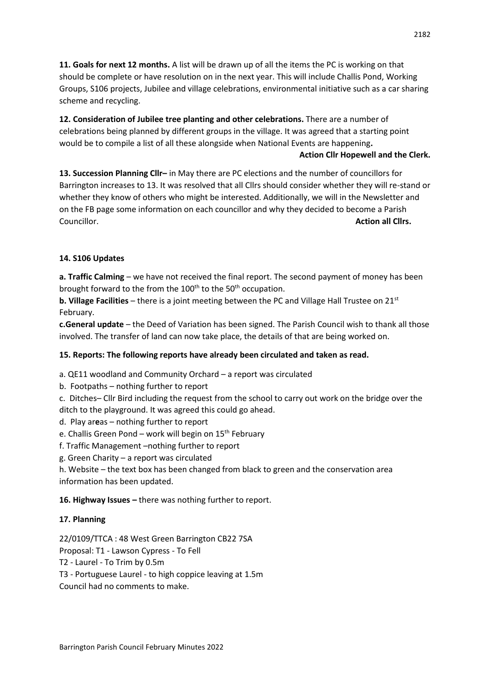**11. Goals for next 12 months.** A list will be drawn up of all the items the PC is working on that should be complete or have resolution on in the next year. This will include Challis Pond, Working Groups, S106 projects, Jubilee and village celebrations, environmental initiative such as a car sharing scheme and recycling.

**12. Consideration of Jubilee tree planting and other celebrations.** There are a number of celebrations being planned by different groups in the village. It was agreed that a starting point would be to compile a list of all these alongside when National Events are happening**.** 

## **Action Cllr Hopewell and the Clerk.**

**13. Succession Planning Cllr–** in May there are PC elections and the number of councillors for Barrington increases to 13. It was resolved that all Cllrs should consider whether they will re-stand or whether they know of others who might be interested. Additionally, we will in the Newsletter and on the FB page some information on each councillor and why they decided to become a Parish **Councillor. Action all Clirs. Action all Clirs. Action all Clirs. Action all Clirs.** 

## **14. S106 Updates**

**a. Traffic Calming** – we have not received the final report. The second payment of money has been brought forward to the from the 100<sup>th</sup> to the 50<sup>th</sup> occupation.

**b. Village Facilities** – there is a joint meeting between the PC and Village Hall Trustee on 21st February.

**c.General update** – the Deed of Variation has been signed. The Parish Council wish to thank all those involved. The transfer of land can now take place, the details of that are being worked on.

## **15. Reports: The following reports have already been circulated and taken as read.**

a. QE11 woodland and Community Orchard – a report was circulated

b. Footpaths – nothing further to report

c. Ditches– Cllr Bird including the request from the school to carry out work on the bridge over the ditch to the playground. It was agreed this could go ahead.

- d. Play ar**e**as nothing further to report
- e. Challis Green Pond work will begin on  $15<sup>th</sup>$  February
- f. Traffic Management –nothing further to report
- g. Green Charity a report was circulated
- h. Website the text box has been changed from black to green and the conservation area information has been updated.

#### **16. Highway Issues –** there was nothing further to report.

#### **17. Planning**

22/0109/TTCA : 48 West Green Barrington CB22 7SA

Proposal: T1 - Lawson Cypress - To Fell

- T2 Laurel To Trim by 0.5m
- T3 Portuguese Laurel to high coppice leaving at 1.5m
- Council had no comments to make.

Barrington Parish Council February Minutes 2022